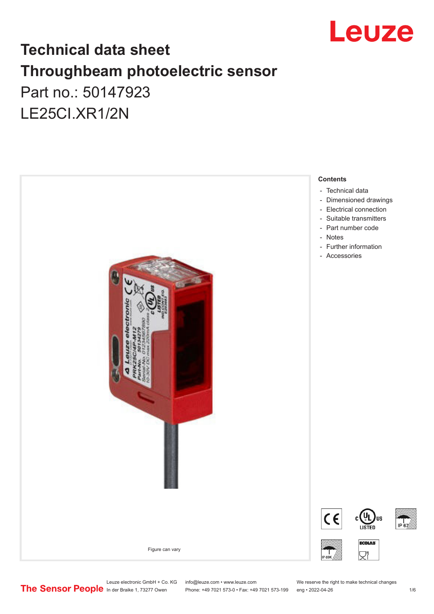

# **Technical data sheet Throughbeam photoelectric sensor**  Part no.: 50147923 LE25CI.XR1/2N



Leuze electronic GmbH + Co. KG info@leuze.com • www.leuze.com We reserve the right to make technical changes<br>
The Sensor People in der Braike 1, 73277 Owen Phone: +49 7021 573-0 • Fax: +49 7021 573-199 eng • 2022-04-26

Phone: +49 7021 573-0 • Fax: +49 7021 573-199 eng • 2022-04-26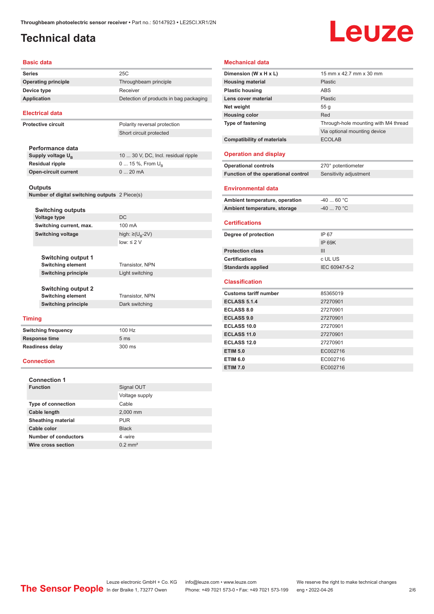### <span id="page-1-0"></span>**Technical data**

# Leuze

#### **Basic data**

| <b>Series</b>  |                                                | 25C                                    |
|----------------|------------------------------------------------|----------------------------------------|
|                | <b>Operating principle</b>                     | Throughbeam principle                  |
|                | Device type                                    | Receiver                               |
|                | <b>Application</b>                             | Detection of products in bag packaging |
|                | <b>Electrical data</b>                         |                                        |
|                | <b>Protective circuit</b>                      | Polarity reversal protection           |
|                |                                                | Short circuit protected                |
|                |                                                |                                        |
|                | Performance data                               |                                        |
|                | Supply voltage $U_{B}$                         | 10  30 V, DC, Incl. residual ripple    |
|                | <b>Residual ripple</b>                         | 0  15 %, From $U_{\rm B}$              |
|                | <b>Open-circuit current</b>                    | 020mA                                  |
| <b>Outputs</b> |                                                |                                        |
|                | Number of digital switching outputs 2 Piece(s) |                                        |
|                | <b>Switching outputs</b>                       |                                        |
|                | <b>Voltage type</b>                            | <b>DC</b>                              |
|                | Switching current, max.                        | 100 mA                                 |
|                | <b>Switching voltage</b>                       | high: $\geq$ (U <sub>B</sub> -2V)      |
|                |                                                | $low: \leq 2$ V                        |
|                | <b>Switching output 1</b>                      |                                        |

**Switching principle** Light switching **Switching output 2**

**Switching element** Transistor, NPN

**Switching element** Transistor, NPN **Switching principle** Dark switching

#### **Timing**

| Switching frequency  | $100$ Hz        |
|----------------------|-----------------|
| <b>Response time</b> | 5 <sub>ms</sub> |
| Readiness delay      | 300 ms          |
|                      |                 |

### **Connection**

| <b>Connection 1</b>       |                       |
|---------------------------|-----------------------|
| <b>Function</b>           | Signal OUT            |
|                           | Voltage supply        |
| <b>Type of connection</b> | Cable                 |
| Cable length              | 2,000 mm              |
| <b>Sheathing material</b> | <b>PUR</b>            |
| Cable color               | <b>Black</b>          |
| Number of conductors      | 4-wire                |
| Wire cross section        | $0.2$ mm <sup>2</sup> |

### **Mechanical data**

| Dimension (W x H x L)               | 15 mm x 42.7 mm x 30 mm              |
|-------------------------------------|--------------------------------------|
| <b>Housing material</b>             | Plastic                              |
| <b>Plastic housing</b>              | <b>ABS</b>                           |
| Lens cover material                 | Plastic                              |
| Net weight                          | 55q                                  |
| <b>Housing color</b>                | Red                                  |
| <b>Type of fastening</b>            | Through-hole mounting with M4 thread |
|                                     | Via optional mounting device         |
| <b>Compatibility of materials</b>   | <b>ECOLAB</b>                        |
|                                     |                                      |
| <b>Operation and display</b>        |                                      |
| <b>Operational controls</b>         | 270° potentiometer                   |
| Function of the operational control | Sensitivity adjustment               |
|                                     |                                      |
| <b>Environmental data</b>           |                                      |
| Ambient temperature, operation      | $-4060 °C$                           |
| Ambient temperature, storage        | $-40$ 70 °C                          |
|                                     |                                      |
|                                     |                                      |
| <b>Certifications</b>               |                                      |
| Degree of protection                | IP 67                                |
|                                     | <b>IP 69K</b>                        |
| <b>Protection class</b>             | III                                  |
| <b>Certifications</b>               | c UL US                              |
| <b>Standards applied</b>            | IEC 60947-5-2                        |
|                                     |                                      |
| <b>Classification</b>               |                                      |
| <b>Customs tariff number</b>        | 85365019                             |
| <b>ECLASS 5.1.4</b>                 | 27270901                             |
| <b>ECLASS 8.0</b>                   | 27270901                             |
| <b>ECLASS 9.0</b>                   | 27270901                             |
| <b>ECLASS 10.0</b>                  | 27270901                             |
| <b>ECLASS 11.0</b>                  | 27270901                             |
| <b>ECLASS 12.0</b>                  | 27270901                             |
| <b>ETIM 5.0</b>                     | EC002716                             |
| <b>ETIM 6.0</b>                     | EC002716                             |

Leuze electronic GmbH + Co. KG info@leuze.com • www.leuze.com We reserve the right to make technical changes<br>
The Sensor People in der Braike 1, 73277 Owen Phone: +49 7021 573-0 • Fax: +49 7021 573-199 eng • 2022-04-26

Phone: +49 7021 573-0 • Fax: +49 7021 573-199 eng • 2022-04-26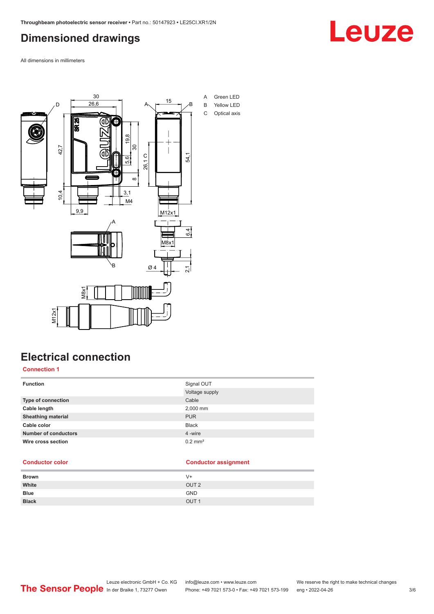# <span id="page-2-0"></span>**Dimensioned drawings**



All dimensions in millimeters



# **Electrical connection**

### **Connection 1**

| <b>Function</b>             | Signal OUT<br>Voltage supply |
|-----------------------------|------------------------------|
| <b>Type of connection</b>   | Cable                        |
| Cable length                | 2,000 mm                     |
| <b>Sheathing material</b>   | <b>PUR</b>                   |
| Cable color                 | <b>Black</b>                 |
| <b>Number of conductors</b> | 4 -wire                      |
| Wire cross section          | $0.2$ mm <sup>2</sup>        |

#### **Conductor color Conductor assignment**

| V+               |
|------------------|
| OUT <sub>2</sub> |
| <b>GND</b>       |
| OUT <sub>1</sub> |
|                  |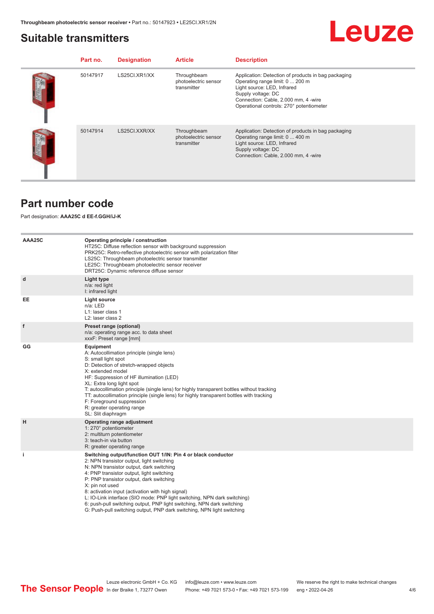### <span id="page-3-0"></span>**Suitable transmitters**

# **Leuze**

| Part no. | <b>Designation</b> | <b>Article</b>                                     | <b>Description</b>                                                                                                                                                                                                              |
|----------|--------------------|----------------------------------------------------|---------------------------------------------------------------------------------------------------------------------------------------------------------------------------------------------------------------------------------|
| 50147917 | LS25CI.XR1/XX      | Throughbeam<br>photoelectric sensor<br>transmitter | Application: Detection of products in bag packaging<br>Operating range limit: 0  200 m<br>Light source: LED, Infrared<br>Supply voltage: DC<br>Connection: Cable, 2.000 mm, 4 -wire<br>Operational controls: 270° potentiometer |
| 50147914 | LS25CI.XXR/XX      | Throughbeam<br>photoelectric sensor<br>transmitter | Application: Detection of products in bag packaging<br>Operating range limit: 0  400 m<br>Light source: LED, Infrared<br>Supply voltage: DC<br>Connection: Cable, 2.000 mm, 4 -wire                                             |

### **Part number code**

### Part designation: **AAA25C d EE-f.GGH/iJ-K**

| AAA25C | Operating principle / construction<br>HT25C: Diffuse reflection sensor with background suppression<br>PRK25C: Retro-reflective photoelectric sensor with polarization filter<br>LS25C: Throughbeam photoelectric sensor transmitter<br>LE25C: Throughbeam photoelectric sensor receiver<br>DRT25C: Dynamic reference diffuse sensor                                                                                                                                                                                                                    |
|--------|--------------------------------------------------------------------------------------------------------------------------------------------------------------------------------------------------------------------------------------------------------------------------------------------------------------------------------------------------------------------------------------------------------------------------------------------------------------------------------------------------------------------------------------------------------|
| d      | Light type<br>n/a: red light<br>I: infrared light                                                                                                                                                                                                                                                                                                                                                                                                                                                                                                      |
| EE     | <b>Light source</b><br>n/a: LED<br>L1: laser class 1<br>L <sub>2</sub> : laser class 2                                                                                                                                                                                                                                                                                                                                                                                                                                                                 |
| f      | Preset range (optional)<br>n/a: operating range acc. to data sheet<br>xxxF: Preset range [mm]                                                                                                                                                                                                                                                                                                                                                                                                                                                          |
| GG     | Equipment<br>A: Autocollimation principle (single lens)<br>S: small light spot<br>D: Detection of stretch-wrapped objects<br>X: extended model<br>HF: Suppression of HF illumination (LED)<br>XL: Extra long light spot<br>T: autocollimation principle (single lens) for highly transparent bottles without tracking<br>TT: autocollimation principle (single lens) for highly transparent bottles with tracking<br>F: Foreground suppression<br>R: greater operating range<br>SL: Slit diaphragm                                                     |
| H      | Operating range adjustment<br>1: 270° potentiometer<br>2: multiturn potentiometer<br>3: teach-in via button<br>R: greater operating range                                                                                                                                                                                                                                                                                                                                                                                                              |
| j.     | Switching output/function OUT 1/IN: Pin 4 or black conductor<br>2: NPN transistor output, light switching<br>N: NPN transistor output, dark switching<br>4: PNP transistor output, light switching<br>P: PNP transistor output, dark switching<br>X: pin not used<br>8: activation input (activation with high signal)<br>L: IO-Link interface (SIO mode: PNP light switching, NPN dark switching)<br>6: push-pull switching output, PNP light switching, NPN dark switching<br>G: Push-pull switching output, PNP dark switching, NPN light switching |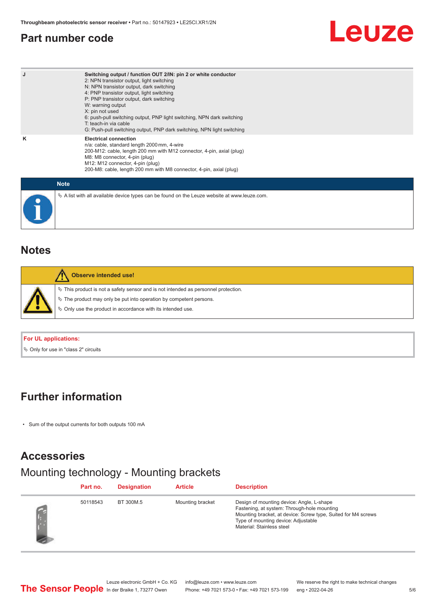### <span id="page-4-0"></span>**Part number code**

# Leuze

| J | Switching output / function OUT 2/IN: pin 2 or white conductor<br>2: NPN transistor output, light switching<br>N: NPN transistor output, dark switching<br>4: PNP transistor output, light switching<br>P: PNP transistor output, dark switching<br>W: warning output<br>X: pin not used<br>6: push-pull switching output, PNP light switching, NPN dark switching<br>T: teach-in via cable<br>G: Push-pull switching output, PNP dark switching, NPN light switching |
|---|-----------------------------------------------------------------------------------------------------------------------------------------------------------------------------------------------------------------------------------------------------------------------------------------------------------------------------------------------------------------------------------------------------------------------------------------------------------------------|
| κ | <b>Electrical connection</b><br>n/a: cable, standard length 2000 mm, 4-wire<br>200-M12: cable, length 200 mm with M12 connector, 4-pin, axial (plug)<br>M8: M8 connector, 4-pin (plug)<br>M12: M12 connector, 4-pin (plug)<br>200-M8: cable, length 200 mm with M8 connector, 4-pin, axial (plug)                                                                                                                                                                     |
|   | <b>Note</b>                                                                                                                                                                                                                                                                                                                                                                                                                                                           |
|   | $\&$ A list with all available device types can be found on the Leuze website at www.leuze.com.                                                                                                                                                                                                                                                                                                                                                                       |

# **Notes**

| <b>Observe intended use!</b>                                                                                                                                                                                                  |
|-------------------------------------------------------------------------------------------------------------------------------------------------------------------------------------------------------------------------------|
| $\%$ This product is not a safety sensor and is not intended as personnel protection.<br>₹ The product may only be put into operation by competent persons.<br>$\%$ Only use the product in accordance with its intended use. |

### **For UL applications:**

 $\%$  Only for use in "class 2" circuits

### **Further information**

• Sum of the output currents for both outputs 100 mA

### **Accessories**

# Mounting technology - Mounting brackets

| Part no. | <b>Designation</b> | <b>Article</b>   | <b>Description</b>                                                                                                                                                                                                            |
|----------|--------------------|------------------|-------------------------------------------------------------------------------------------------------------------------------------------------------------------------------------------------------------------------------|
| 50118543 | BT 300M.5          | Mounting bracket | Design of mounting device: Angle, L-shape<br>Fastening, at system: Through-hole mounting<br>Mounting bracket, at device: Screw type, Suited for M4 screws<br>Type of mounting device: Adjustable<br>Material: Stainless steel |